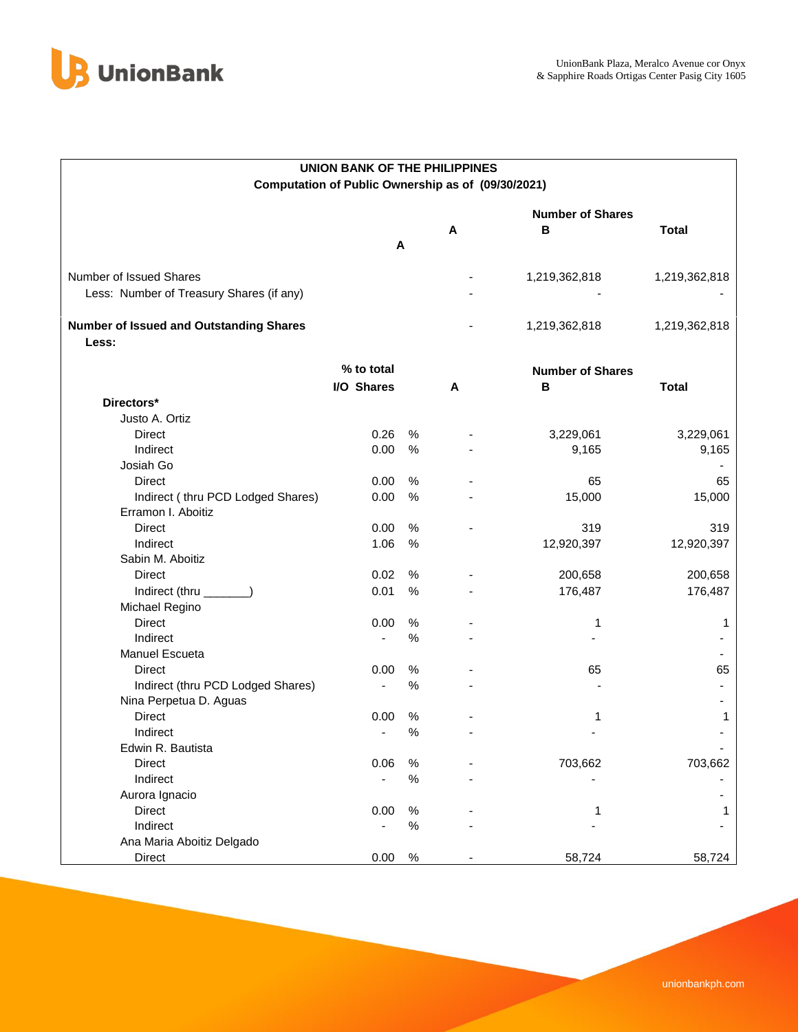

| <b>UNION BANK OF THE PHILIPPINES</b>           |                                                    |      |   |                         |               |  |  |  |  |  |
|------------------------------------------------|----------------------------------------------------|------|---|-------------------------|---------------|--|--|--|--|--|
|                                                | Computation of Public Ownership as of (09/30/2021) |      |   |                         |               |  |  |  |  |  |
|                                                |                                                    |      |   |                         |               |  |  |  |  |  |
|                                                |                                                    |      |   | <b>Number of Shares</b> |               |  |  |  |  |  |
|                                                |                                                    | A    | Α | в                       | <b>Total</b>  |  |  |  |  |  |
|                                                |                                                    |      |   |                         |               |  |  |  |  |  |
| Number of Issued Shares                        |                                                    |      |   | 1,219,362,818           | 1,219,362,818 |  |  |  |  |  |
| Less: Number of Treasury Shares (if any)       |                                                    |      |   |                         |               |  |  |  |  |  |
|                                                |                                                    |      |   |                         |               |  |  |  |  |  |
| <b>Number of Issued and Outstanding Shares</b> |                                                    |      |   | 1,219,362,818           | 1,219,362,818 |  |  |  |  |  |
| Less:                                          |                                                    |      |   |                         |               |  |  |  |  |  |
|                                                | % to total                                         |      |   | <b>Number of Shares</b> |               |  |  |  |  |  |
|                                                | I/O Shares                                         |      | A | в                       | <b>Total</b>  |  |  |  |  |  |
| Directors*                                     |                                                    |      |   |                         |               |  |  |  |  |  |
| Justo A. Ortiz                                 |                                                    |      |   |                         |               |  |  |  |  |  |
| <b>Direct</b>                                  | 0.26                                               | $\%$ |   | 3,229,061               | 3,229,061     |  |  |  |  |  |
| Indirect                                       | 0.00                                               | $\%$ |   | 9,165                   | 9,165         |  |  |  |  |  |
| Josiah Go                                      |                                                    |      |   |                         |               |  |  |  |  |  |
| <b>Direct</b>                                  | 0.00                                               | %    |   | 65                      | 65            |  |  |  |  |  |
| Indirect (thru PCD Lodged Shares)              | 0.00                                               | %    |   | 15,000                  | 15,000        |  |  |  |  |  |
| Erramon I. Aboitiz                             |                                                    |      |   |                         |               |  |  |  |  |  |
| <b>Direct</b>                                  | 0.00                                               | %    |   | 319                     | 319           |  |  |  |  |  |
| Indirect                                       | 1.06                                               | %    |   | 12,920,397              | 12,920,397    |  |  |  |  |  |
| Sabin M. Aboitiz                               |                                                    |      |   |                         |               |  |  |  |  |  |
| <b>Direct</b>                                  | 0.02                                               | $\%$ |   | 200,658                 | 200,658       |  |  |  |  |  |
| Indirect (thru _______)                        | 0.01                                               | %    |   | 176,487                 | 176,487       |  |  |  |  |  |
| Michael Regino                                 |                                                    |      |   |                         |               |  |  |  |  |  |
| <b>Direct</b>                                  | 0.00                                               | %    |   | 1                       | 1             |  |  |  |  |  |
| Indirect                                       |                                                    | %    |   |                         |               |  |  |  |  |  |
| Manuel Escueta                                 |                                                    |      |   |                         |               |  |  |  |  |  |
| Direct                                         | 0.00                                               | %    |   | 65                      | 65            |  |  |  |  |  |
| Indirect (thru PCD Lodged Shares)              |                                                    | %    |   |                         |               |  |  |  |  |  |
| Nina Perpetua D. Aguas                         |                                                    |      |   |                         |               |  |  |  |  |  |
| Direct                                         | 0.00                                               | %    |   | 1                       | 1             |  |  |  |  |  |
| Indirect                                       |                                                    | $\%$ |   |                         |               |  |  |  |  |  |
| Edwin R. Bautista                              |                                                    |      |   |                         |               |  |  |  |  |  |
| Direct                                         | 0.06                                               | %    |   | 703,662                 | 703,662       |  |  |  |  |  |
| Indirect                                       |                                                    | $\%$ |   |                         |               |  |  |  |  |  |
| Aurora Ignacio                                 |                                                    |      |   |                         |               |  |  |  |  |  |
| Direct                                         | 0.00                                               | $\%$ |   | 1                       |               |  |  |  |  |  |
| Indirect                                       |                                                    | $\%$ |   |                         |               |  |  |  |  |  |
| Ana Maria Aboitiz Delgado                      |                                                    |      |   |                         |               |  |  |  |  |  |
| Direct                                         | 0.00                                               | $\%$ |   | 58,724                  | 58,724        |  |  |  |  |  |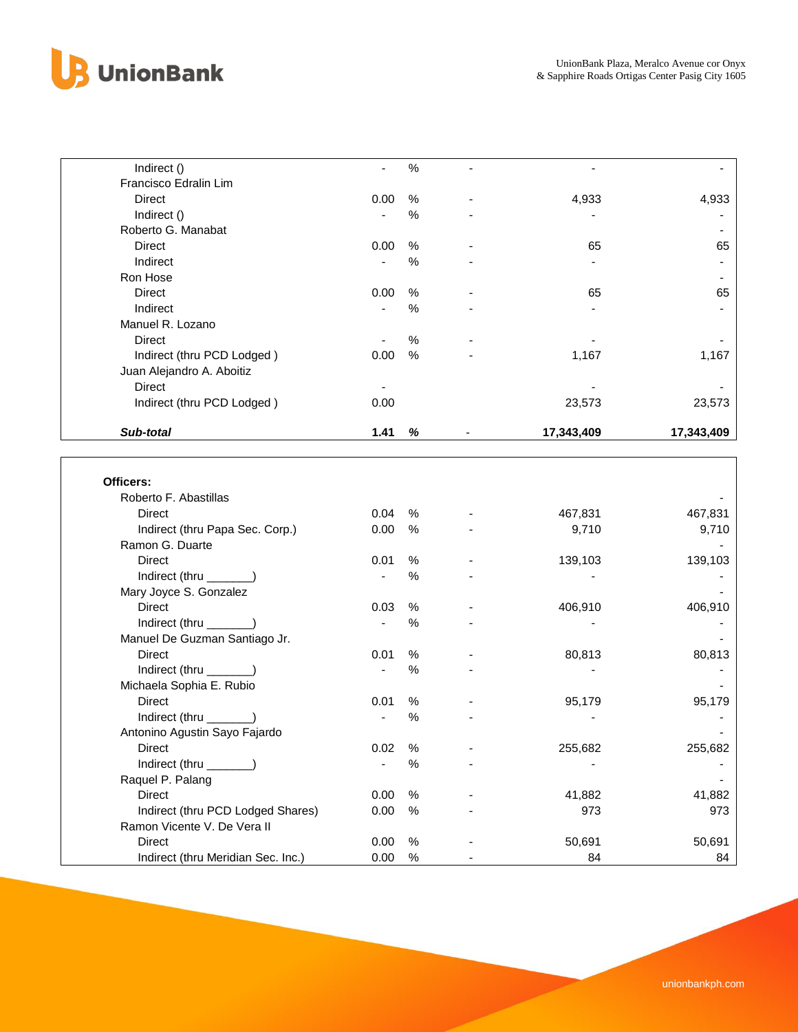

| Indirect ()                        |                          | $\%$ |            |            |
|------------------------------------|--------------------------|------|------------|------------|
| Francisco Edralin Lim              |                          |      |            |            |
| Direct                             | 0.00                     | %    | 4,933      | 4,933      |
| Indirect ()                        |                          | %    |            |            |
| Roberto G. Manabat                 |                          |      |            |            |
| Direct                             | 0.00                     | %    | 65         | 65         |
| Indirect                           |                          | %    |            |            |
| Ron Hose                           |                          |      |            |            |
| <b>Direct</b>                      | 0.00                     | %    | 65         | 65         |
| Indirect                           |                          | %    |            |            |
| Manuel R. Lozano                   |                          |      |            |            |
| Direct                             |                          | $\%$ |            |            |
| Indirect (thru PCD Lodged)         | 0.00                     | $\%$ | 1,167      | 1,167      |
| Juan Alejandro A. Aboitiz          |                          |      |            |            |
| Direct                             |                          |      |            |            |
| Indirect (thru PCD Lodged)         | 0.00                     |      | 23,573     | 23,573     |
|                                    |                          |      |            |            |
| Sub-total                          | 1.41                     | %    | 17,343,409 | 17,343,409 |
|                                    |                          |      |            |            |
|                                    |                          |      |            |            |
| Officers:                          |                          |      |            |            |
| Roberto F. Abastillas              |                          |      |            |            |
| <b>Direct</b>                      | 0.04                     | %    | 467,831    | 467,831    |
| Indirect (thru Papa Sec. Corp.)    | 0.00                     | $\%$ | 9,710      | 9,710      |
| Ramon G. Duarte                    |                          |      |            |            |
| <b>Direct</b>                      | 0.01                     | %    | 139,103    | 139,103    |
| Indirect (thru _______)            | $\blacksquare$           | $\%$ |            |            |
| Mary Joyce S. Gonzalez             |                          |      |            |            |
| <b>Direct</b>                      | 0.03                     | %    | 406,910    | 406,910    |
| Indirect (thru _______)            | $\overline{\phantom{a}}$ | $\%$ |            |            |
| Manuel De Guzman Santiago Jr.      |                          |      |            |            |
| <b>Direct</b>                      | 0.01                     | %    | 80,813     | 80,813     |
| Indirect (thru ______)             | $\overline{\phantom{a}}$ | $\%$ |            |            |
| Michaela Sophia E. Rubio           |                          |      |            |            |
| <b>Direct</b>                      | 0.01                     | $\%$ | 95,179     | 95,179     |
| Indirect (thru _______)            |                          | $\%$ |            |            |
| Antonino Agustin Sayo Fajardo      |                          |      |            |            |
| <b>Direct</b>                      | 0.02                     | $\%$ | 255,682    | 255,682    |
| Indirect (thru _                   |                          | $\%$ |            |            |
| Raquel P. Palang                   |                          |      |            |            |
| <b>Direct</b>                      | 0.00                     | $\%$ | 41,882     | 41,882     |
| Indirect (thru PCD Lodged Shares)  | 0.00                     | $\%$ | 973        | 973        |
| Ramon Vicente V. De Vera II        |                          |      |            |            |
| <b>Direct</b>                      | 0.00                     | $\%$ | 50,691     | 50,691     |
| Indirect (thru Meridian Sec. Inc.) | 0.00                     | $\%$ | 84         | 84         |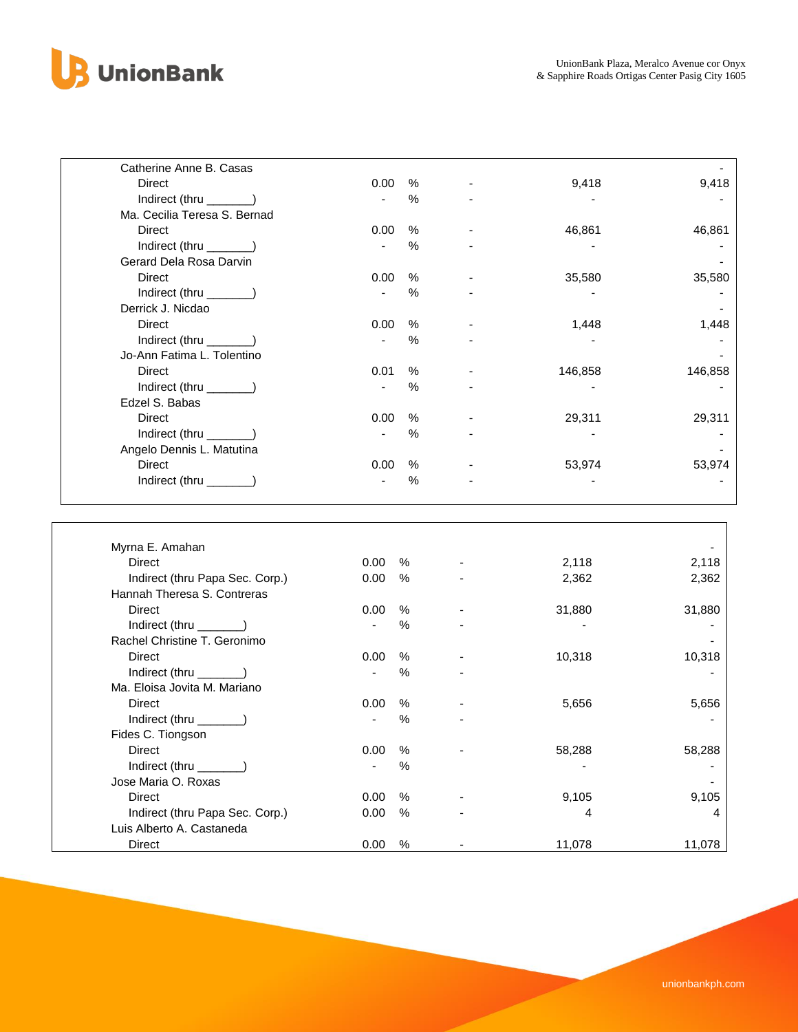

Jose Maria O. Roxas -

Luis Alberto A. Castaneda

| $\%$<br>Direct<br>0.00<br>9,418<br>9,418<br>Indirect (thru _______)<br>%<br>$\mathbf{r}$<br>Ma. Cecilia Teresa S. Bernad<br>$\%$<br><b>Direct</b><br>0.00<br>46,861<br>46,861<br>Indirect (thru _______)<br>$\%$<br>$\blacksquare$<br>Gerard Dela Rosa Darvin<br>$\%$<br><b>Direct</b><br>0.00<br>35,580<br>35,580<br>$\%$<br>Indirect (thru _______)<br>Derrick J. Nicdao<br>$\%$<br><b>Direct</b><br>0.00<br>1,448<br>1,448<br>Indirect (thru _______)<br>%<br>Jo-Ann Fatima L. Tolentino<br>$\%$<br><b>Direct</b><br>0.01<br>146,858<br>146,858<br>Indirect (thru _______)<br>$\%$<br>$\blacksquare$<br>Edzel S. Babas<br><b>Direct</b><br>0.00<br>$\%$<br>29,311<br>29,311<br>Indirect (thru _______)<br>%<br>$\blacksquare$<br>Angelo Dennis L. Matutina<br>Direct<br>0.00<br>$\%$<br>53,974<br>53,974<br>Indirect (thru _______)<br>$\%$<br>$\blacksquare$<br>Myrna E. Amahan<br><b>Direct</b><br>0.00<br>%<br>2,118<br>2,118<br>$\%$<br>Indirect (thru Papa Sec. Corp.)<br>0.00<br>2,362<br>2,362<br>Hannah Theresa S. Contreras<br><b>Direct</b><br>$\%$<br>31,880<br>0.00<br>31,880<br>$\%$<br>Indirect (thru $\_\_$<br>$\mathbf{r}$<br>Rachel Christine T. Geronimo<br><b>Direct</b><br>0.00<br>$\%$<br>10,318<br>10,318<br>Indirect (thru _______)<br>$\%$<br>$\blacksquare$<br>Ma. Eloisa Jovita M. Mariano<br><b>Direct</b><br>$\%$<br>0.00<br>5,656<br>5,656<br>$\%$<br>Indirect (thru _______)<br>Fides C. Tiongson<br><b>Direct</b><br>$\%$<br>0.00<br>58,288<br>58,288 | Catherine Anne B. Casas |      |  |  |
|-----------------------------------------------------------------------------------------------------------------------------------------------------------------------------------------------------------------------------------------------------------------------------------------------------------------------------------------------------------------------------------------------------------------------------------------------------------------------------------------------------------------------------------------------------------------------------------------------------------------------------------------------------------------------------------------------------------------------------------------------------------------------------------------------------------------------------------------------------------------------------------------------------------------------------------------------------------------------------------------------------------------------------------------------------------------------------------------------------------------------------------------------------------------------------------------------------------------------------------------------------------------------------------------------------------------------------------------------------------------------------------------------------------------------------------------------------------------------------------------|-------------------------|------|--|--|
|                                                                                                                                                                                                                                                                                                                                                                                                                                                                                                                                                                                                                                                                                                                                                                                                                                                                                                                                                                                                                                                                                                                                                                                                                                                                                                                                                                                                                                                                                         |                         |      |  |  |
|                                                                                                                                                                                                                                                                                                                                                                                                                                                                                                                                                                                                                                                                                                                                                                                                                                                                                                                                                                                                                                                                                                                                                                                                                                                                                                                                                                                                                                                                                         |                         |      |  |  |
|                                                                                                                                                                                                                                                                                                                                                                                                                                                                                                                                                                                                                                                                                                                                                                                                                                                                                                                                                                                                                                                                                                                                                                                                                                                                                                                                                                                                                                                                                         |                         |      |  |  |
|                                                                                                                                                                                                                                                                                                                                                                                                                                                                                                                                                                                                                                                                                                                                                                                                                                                                                                                                                                                                                                                                                                                                                                                                                                                                                                                                                                                                                                                                                         |                         |      |  |  |
|                                                                                                                                                                                                                                                                                                                                                                                                                                                                                                                                                                                                                                                                                                                                                                                                                                                                                                                                                                                                                                                                                                                                                                                                                                                                                                                                                                                                                                                                                         |                         |      |  |  |
|                                                                                                                                                                                                                                                                                                                                                                                                                                                                                                                                                                                                                                                                                                                                                                                                                                                                                                                                                                                                                                                                                                                                                                                                                                                                                                                                                                                                                                                                                         |                         |      |  |  |
|                                                                                                                                                                                                                                                                                                                                                                                                                                                                                                                                                                                                                                                                                                                                                                                                                                                                                                                                                                                                                                                                                                                                                                                                                                                                                                                                                                                                                                                                                         |                         |      |  |  |
|                                                                                                                                                                                                                                                                                                                                                                                                                                                                                                                                                                                                                                                                                                                                                                                                                                                                                                                                                                                                                                                                                                                                                                                                                                                                                                                                                                                                                                                                                         |                         |      |  |  |
|                                                                                                                                                                                                                                                                                                                                                                                                                                                                                                                                                                                                                                                                                                                                                                                                                                                                                                                                                                                                                                                                                                                                                                                                                                                                                                                                                                                                                                                                                         |                         |      |  |  |
|                                                                                                                                                                                                                                                                                                                                                                                                                                                                                                                                                                                                                                                                                                                                                                                                                                                                                                                                                                                                                                                                                                                                                                                                                                                                                                                                                                                                                                                                                         |                         |      |  |  |
|                                                                                                                                                                                                                                                                                                                                                                                                                                                                                                                                                                                                                                                                                                                                                                                                                                                                                                                                                                                                                                                                                                                                                                                                                                                                                                                                                                                                                                                                                         |                         |      |  |  |
|                                                                                                                                                                                                                                                                                                                                                                                                                                                                                                                                                                                                                                                                                                                                                                                                                                                                                                                                                                                                                                                                                                                                                                                                                                                                                                                                                                                                                                                                                         |                         |      |  |  |
|                                                                                                                                                                                                                                                                                                                                                                                                                                                                                                                                                                                                                                                                                                                                                                                                                                                                                                                                                                                                                                                                                                                                                                                                                                                                                                                                                                                                                                                                                         |                         |      |  |  |
|                                                                                                                                                                                                                                                                                                                                                                                                                                                                                                                                                                                                                                                                                                                                                                                                                                                                                                                                                                                                                                                                                                                                                                                                                                                                                                                                                                                                                                                                                         |                         |      |  |  |
|                                                                                                                                                                                                                                                                                                                                                                                                                                                                                                                                                                                                                                                                                                                                                                                                                                                                                                                                                                                                                                                                                                                                                                                                                                                                                                                                                                                                                                                                                         |                         |      |  |  |
|                                                                                                                                                                                                                                                                                                                                                                                                                                                                                                                                                                                                                                                                                                                                                                                                                                                                                                                                                                                                                                                                                                                                                                                                                                                                                                                                                                                                                                                                                         |                         |      |  |  |
|                                                                                                                                                                                                                                                                                                                                                                                                                                                                                                                                                                                                                                                                                                                                                                                                                                                                                                                                                                                                                                                                                                                                                                                                                                                                                                                                                                                                                                                                                         |                         |      |  |  |
|                                                                                                                                                                                                                                                                                                                                                                                                                                                                                                                                                                                                                                                                                                                                                                                                                                                                                                                                                                                                                                                                                                                                                                                                                                                                                                                                                                                                                                                                                         |                         |      |  |  |
|                                                                                                                                                                                                                                                                                                                                                                                                                                                                                                                                                                                                                                                                                                                                                                                                                                                                                                                                                                                                                                                                                                                                                                                                                                                                                                                                                                                                                                                                                         |                         |      |  |  |
|                                                                                                                                                                                                                                                                                                                                                                                                                                                                                                                                                                                                                                                                                                                                                                                                                                                                                                                                                                                                                                                                                                                                                                                                                                                                                                                                                                                                                                                                                         |                         |      |  |  |
|                                                                                                                                                                                                                                                                                                                                                                                                                                                                                                                                                                                                                                                                                                                                                                                                                                                                                                                                                                                                                                                                                                                                                                                                                                                                                                                                                                                                                                                                                         |                         |      |  |  |
|                                                                                                                                                                                                                                                                                                                                                                                                                                                                                                                                                                                                                                                                                                                                                                                                                                                                                                                                                                                                                                                                                                                                                                                                                                                                                                                                                                                                                                                                                         |                         |      |  |  |
|                                                                                                                                                                                                                                                                                                                                                                                                                                                                                                                                                                                                                                                                                                                                                                                                                                                                                                                                                                                                                                                                                                                                                                                                                                                                                                                                                                                                                                                                                         |                         |      |  |  |
|                                                                                                                                                                                                                                                                                                                                                                                                                                                                                                                                                                                                                                                                                                                                                                                                                                                                                                                                                                                                                                                                                                                                                                                                                                                                                                                                                                                                                                                                                         |                         |      |  |  |
|                                                                                                                                                                                                                                                                                                                                                                                                                                                                                                                                                                                                                                                                                                                                                                                                                                                                                                                                                                                                                                                                                                                                                                                                                                                                                                                                                                                                                                                                                         |                         |      |  |  |
|                                                                                                                                                                                                                                                                                                                                                                                                                                                                                                                                                                                                                                                                                                                                                                                                                                                                                                                                                                                                                                                                                                                                                                                                                                                                                                                                                                                                                                                                                         |                         |      |  |  |
|                                                                                                                                                                                                                                                                                                                                                                                                                                                                                                                                                                                                                                                                                                                                                                                                                                                                                                                                                                                                                                                                                                                                                                                                                                                                                                                                                                                                                                                                                         |                         |      |  |  |
|                                                                                                                                                                                                                                                                                                                                                                                                                                                                                                                                                                                                                                                                                                                                                                                                                                                                                                                                                                                                                                                                                                                                                                                                                                                                                                                                                                                                                                                                                         |                         |      |  |  |
|                                                                                                                                                                                                                                                                                                                                                                                                                                                                                                                                                                                                                                                                                                                                                                                                                                                                                                                                                                                                                                                                                                                                                                                                                                                                                                                                                                                                                                                                                         |                         |      |  |  |
|                                                                                                                                                                                                                                                                                                                                                                                                                                                                                                                                                                                                                                                                                                                                                                                                                                                                                                                                                                                                                                                                                                                                                                                                                                                                                                                                                                                                                                                                                         |                         |      |  |  |
|                                                                                                                                                                                                                                                                                                                                                                                                                                                                                                                                                                                                                                                                                                                                                                                                                                                                                                                                                                                                                                                                                                                                                                                                                                                                                                                                                                                                                                                                                         |                         |      |  |  |
|                                                                                                                                                                                                                                                                                                                                                                                                                                                                                                                                                                                                                                                                                                                                                                                                                                                                                                                                                                                                                                                                                                                                                                                                                                                                                                                                                                                                                                                                                         |                         |      |  |  |
|                                                                                                                                                                                                                                                                                                                                                                                                                                                                                                                                                                                                                                                                                                                                                                                                                                                                                                                                                                                                                                                                                                                                                                                                                                                                                                                                                                                                                                                                                         |                         |      |  |  |
|                                                                                                                                                                                                                                                                                                                                                                                                                                                                                                                                                                                                                                                                                                                                                                                                                                                                                                                                                                                                                                                                                                                                                                                                                                                                                                                                                                                                                                                                                         |                         |      |  |  |
|                                                                                                                                                                                                                                                                                                                                                                                                                                                                                                                                                                                                                                                                                                                                                                                                                                                                                                                                                                                                                                                                                                                                                                                                                                                                                                                                                                                                                                                                                         |                         |      |  |  |
|                                                                                                                                                                                                                                                                                                                                                                                                                                                                                                                                                                                                                                                                                                                                                                                                                                                                                                                                                                                                                                                                                                                                                                                                                                                                                                                                                                                                                                                                                         |                         |      |  |  |
|                                                                                                                                                                                                                                                                                                                                                                                                                                                                                                                                                                                                                                                                                                                                                                                                                                                                                                                                                                                                                                                                                                                                                                                                                                                                                                                                                                                                                                                                                         | Indirect (thru          | $\%$ |  |  |

Direct 0.00 % - 9,105 9,105 Indirect (thru Papa Sec. Corp.) 0.00 % - 4 4

Direct 0.00 % - 11,078 11,078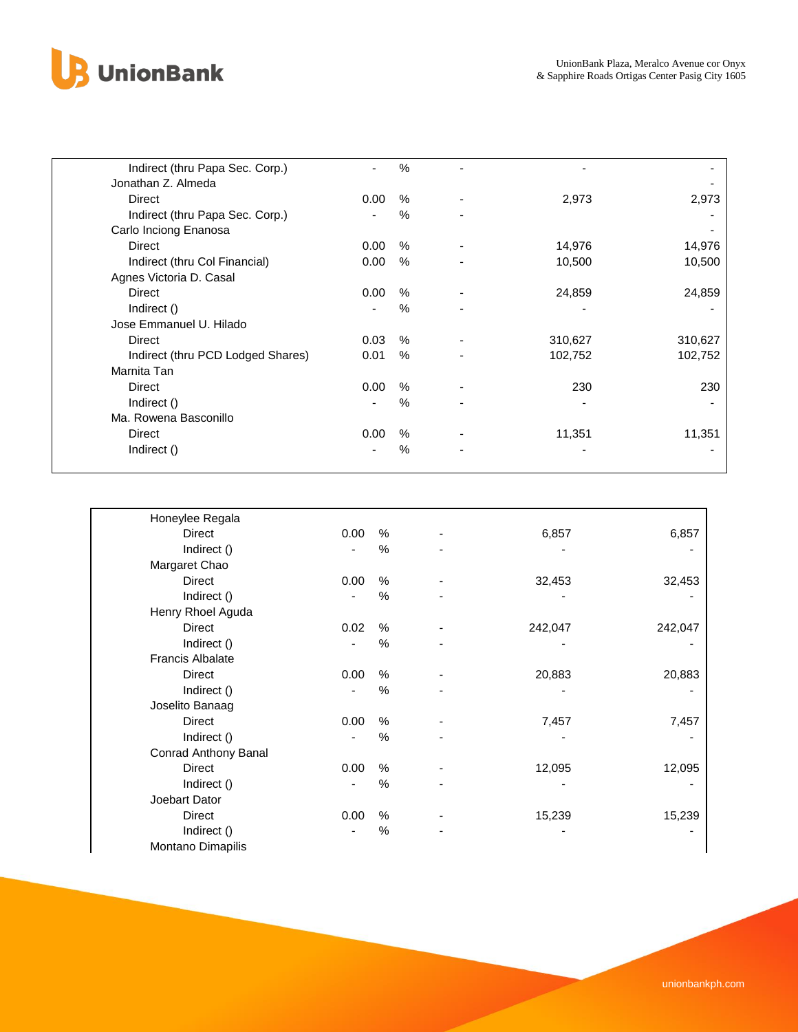

| Indirect (thru Papa Sec. Corp.)   |      | $\%$ |         |         |
|-----------------------------------|------|------|---------|---------|
| Jonathan Z. Almeda                |      |      |         |         |
| <b>Direct</b>                     | 0.00 | %    | 2,973   | 2,973   |
| Indirect (thru Papa Sec. Corp.)   |      | $\%$ |         |         |
| Carlo Inciong Enanosa             |      |      |         |         |
| Direct                            | 0.00 | %    | 14,976  | 14,976  |
| Indirect (thru Col Financial)     | 0.00 | $\%$ | 10,500  | 10,500  |
| Agnes Victoria D. Casal           |      |      |         |         |
| <b>Direct</b>                     | 0.00 | %    | 24,859  | 24,859  |
| Indirect ()                       |      | $\%$ |         |         |
| Jose Emmanuel U. Hilado           |      |      |         |         |
| <b>Direct</b>                     | 0.03 | $\%$ | 310,627 | 310,627 |
| Indirect (thru PCD Lodged Shares) | 0.01 | $\%$ | 102,752 | 102,752 |
| Marnita Tan                       |      |      |         |         |
| Direct                            | 0.00 | $\%$ | 230     | 230     |
| Indirect ()                       |      | $\%$ |         |         |
| Ma. Rowena Basconillo             |      |      |         |         |
| Direct                            | 0.00 | %    | 11,351  | 11,351  |
| Indirect ()                       |      | %    |         |         |
|                                   |      |      |         |         |

| Honeylee Regala         |      |               |         |         |
|-------------------------|------|---------------|---------|---------|
| Direct                  | 0.00 | %             | 6,857   | 6,857   |
| Indirect ()             |      | %             |         |         |
| Margaret Chao           |      |               |         |         |
| Direct                  | 0.00 | %             | 32,453  | 32,453  |
| Indirect ()             |      | %             |         |         |
| Henry Rhoel Aguda       |      |               |         |         |
| Direct                  | 0.02 | $\%$          | 242,047 | 242,047 |
| Indirect ()             |      | $\%$          |         |         |
| <b>Francis Albalate</b> |      |               |         |         |
| Direct                  | 0.00 | $\%$          | 20,883  | 20,883  |
| Indirect ()             |      | $\%$          |         |         |
| Joselito Banaag         |      |               |         |         |
| Direct                  | 0.00 | $\%$          | 7,457   | 7,457   |
| Indirect ()             |      | %             |         |         |
| Conrad Anthony Banal    |      |               |         |         |
| Direct                  | 0.00 | $\%$          | 12,095  | 12,095  |
| Indirect ()             |      | %             |         |         |
| Joebart Dator           |      |               |         |         |
| Direct                  | 0.00 | $\frac{0}{0}$ | 15,239  | 15,239  |
| Indirect ()             |      | %             |         |         |
| Montano Dimapilis       |      |               |         |         |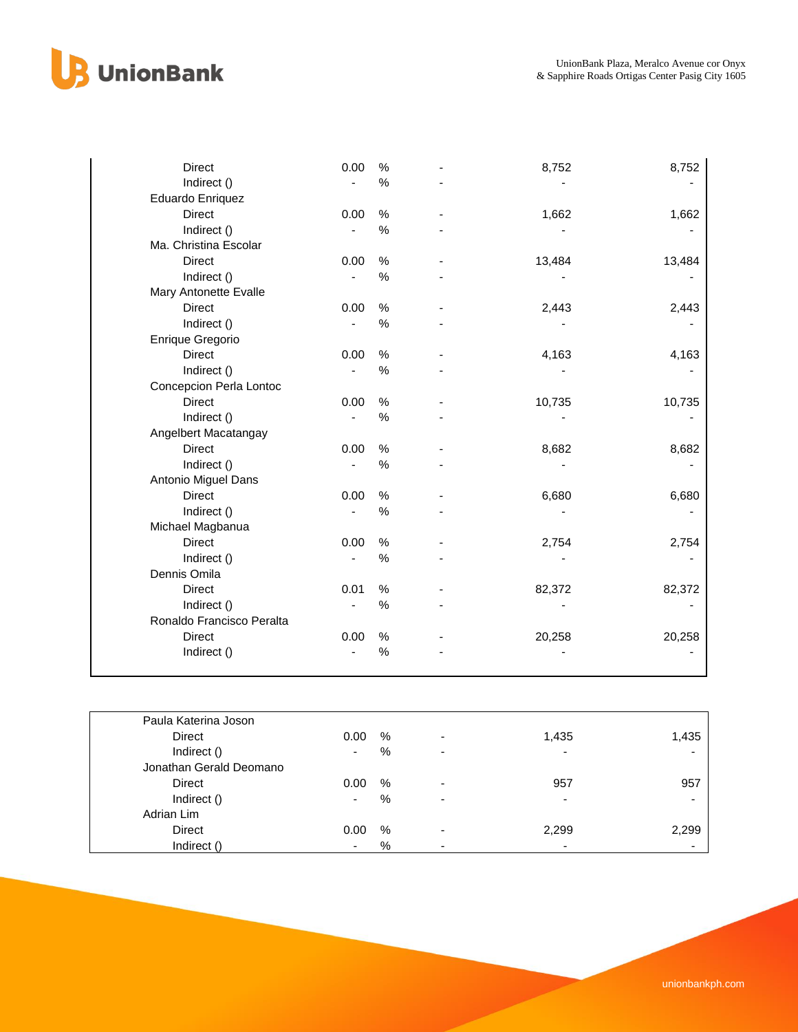## **B** UnionBank

| <b>Direct</b>             | 0.00 | $\%$ | 8,752  | 8,752  |
|---------------------------|------|------|--------|--------|
| Indirect ()               |      | $\%$ |        |        |
| Eduardo Enriquez          |      |      |        |        |
| Direct                    | 0.00 | $\%$ | 1,662  | 1,662  |
| Indirect ()               |      | $\%$ |        |        |
| Ma. Christina Escolar     |      |      |        |        |
| Direct                    | 0.00 | %    | 13,484 | 13,484 |
| Indirect ()               |      | $\%$ |        |        |
| Mary Antonette Evalle     |      |      |        |        |
| <b>Direct</b>             | 0.00 | %    | 2,443  | 2,443  |
| Indirect ()               |      | $\%$ |        |        |
| Enrique Gregorio          |      |      |        |        |
| <b>Direct</b>             | 0.00 | $\%$ | 4,163  | 4,163  |
| Indirect ()               |      | $\%$ |        |        |
| Concepcion Perla Lontoc   |      |      |        |        |
| Direct                    | 0.00 | $\%$ | 10,735 | 10,735 |
| Indirect ()               |      | $\%$ |        |        |
| Angelbert Macatangay      |      |      |        |        |
| Direct                    | 0.00 | $\%$ | 8,682  | 8,682  |
| Indirect ()               |      | %    |        |        |
| Antonio Miguel Dans       |      |      |        |        |
| <b>Direct</b>             | 0.00 | $\%$ | 6,680  | 6,680  |
| Indirect ()               |      | %    |        |        |
| Michael Magbanua          |      |      |        |        |
| Direct                    | 0.00 | %    | 2,754  | 2,754  |
| Indirect ()               |      | $\%$ |        |        |
| Dennis Omila              |      |      |        |        |
| Direct                    | 0.01 | $\%$ | 82,372 | 82,372 |
| Indirect ()               |      | %    |        |        |
| Ronaldo Francisco Peralta |      |      |        |        |
| <b>Direct</b>             | 0.00 | $\%$ | 20,258 | 20,258 |
| Indirect ()               |      | $\%$ |        |        |

| Paula Katerina Joson    |      |      |                          |                          |       |
|-------------------------|------|------|--------------------------|--------------------------|-------|
| Direct                  | 0.00 | $\%$ | $\overline{a}$           | 1,435                    | 1,435 |
| Indirect ()             | ۰    | %    | ٠                        | $\overline{\phantom{0}}$ |       |
| Jonathan Gerald Deomano |      |      |                          |                          |       |
| Direct                  | 0.00 | %    | ٠                        | 957                      | 957   |
| Indirect ()             | -    | %    | $\overline{\phantom{a}}$ | $\overline{\phantom{0}}$ |       |
| Adrian Lim              |      |      |                          |                          |       |
| Direct                  | 0.00 | %    | -                        | 2,299                    | 2,299 |
| Indirect ()             |      | %    | ٠                        | $\overline{\phantom{0}}$ |       |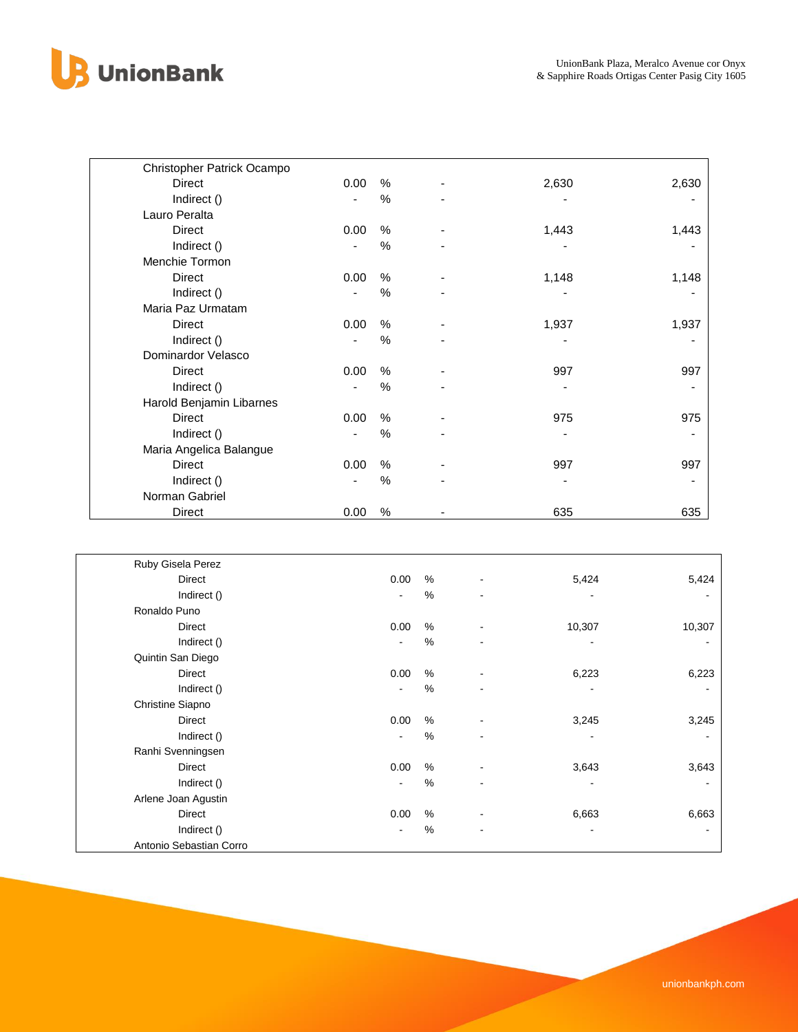

| Christopher Patrick Ocampo |      |               |       |       |
|----------------------------|------|---------------|-------|-------|
| Direct                     | 0.00 | %             | 2,630 | 2,630 |
| Indirect ()                |      | %             |       |       |
| Lauro Peralta              |      |               |       |       |
| Direct                     | 0.00 | %             | 1,443 | 1,443 |
| Indirect ()                |      | $\%$          |       |       |
| Menchie Tormon             |      |               |       |       |
| Direct                     | 0.00 | %             | 1,148 | 1,148 |
| Indirect ()                |      | $\%$          |       |       |
| Maria Paz Urmatam          |      |               |       |       |
| Direct                     | 0.00 | %             | 1,937 | 1,937 |
| Indirect ()                |      | %             |       |       |
| Dominardor Velasco         |      |               |       |       |
| Direct                     | 0.00 | %             | 997   | 997   |
| Indirect ()                |      | $\frac{0}{0}$ |       |       |
| Harold Benjamin Libarnes   |      |               |       |       |
| Direct                     | 0.00 | %             | 975   | 975   |
| Indirect ()                |      | $\%$          |       |       |
| Maria Angelica Balangue    |      |               |       |       |
| Direct                     | 0.00 | $\frac{0}{0}$ | 997   | 997   |
| Indirect ()                |      | $\%$          |       |       |
| Norman Gabriel             |      |               |       |       |
| Direct                     | 0.00 | %             | 635   | 635   |

| Ruby Gisela Perez       |                |   |                          |                          |        |
|-------------------------|----------------|---|--------------------------|--------------------------|--------|
| <b>Direct</b>           | 0.00           | % |                          | 5,424                    | 5,424  |
| Indirect ()             |                | % | $\overline{\phantom{a}}$ |                          |        |
| Ronaldo Puno            |                |   |                          |                          |        |
| <b>Direct</b>           | 0.00           | % | $\overline{\phantom{a}}$ | 10,307                   | 10,307 |
| Indirect ()             |                | % | $\blacksquare$           | $\overline{\phantom{a}}$ |        |
| Quintin San Diego       |                |   |                          |                          |        |
| <b>Direct</b>           | 0.00           | % | $\overline{\phantom{a}}$ | 6,223                    | 6,223  |
| Indirect ()             | $\blacksquare$ | % | $\blacksquare$           |                          |        |
| Christine Siapno        |                |   |                          |                          |        |
| <b>Direct</b>           | 0.00           | % |                          | 3,245                    | 3,245  |
| Indirect ()             | $\blacksquare$ | % |                          |                          |        |
| Ranhi Svenningsen       |                |   |                          |                          |        |
| <b>Direct</b>           | 0.00           | % |                          | 3,643                    | 3,643  |
| Indirect ()             | $\blacksquare$ | % | ۰                        |                          |        |
| Arlene Joan Agustin     |                |   |                          |                          |        |
| <b>Direct</b>           | 0.00           | % |                          | 6,663                    | 6,663  |
| Indirect ()             |                | % | -                        |                          |        |
| Antonio Sebastian Corro |                |   |                          |                          |        |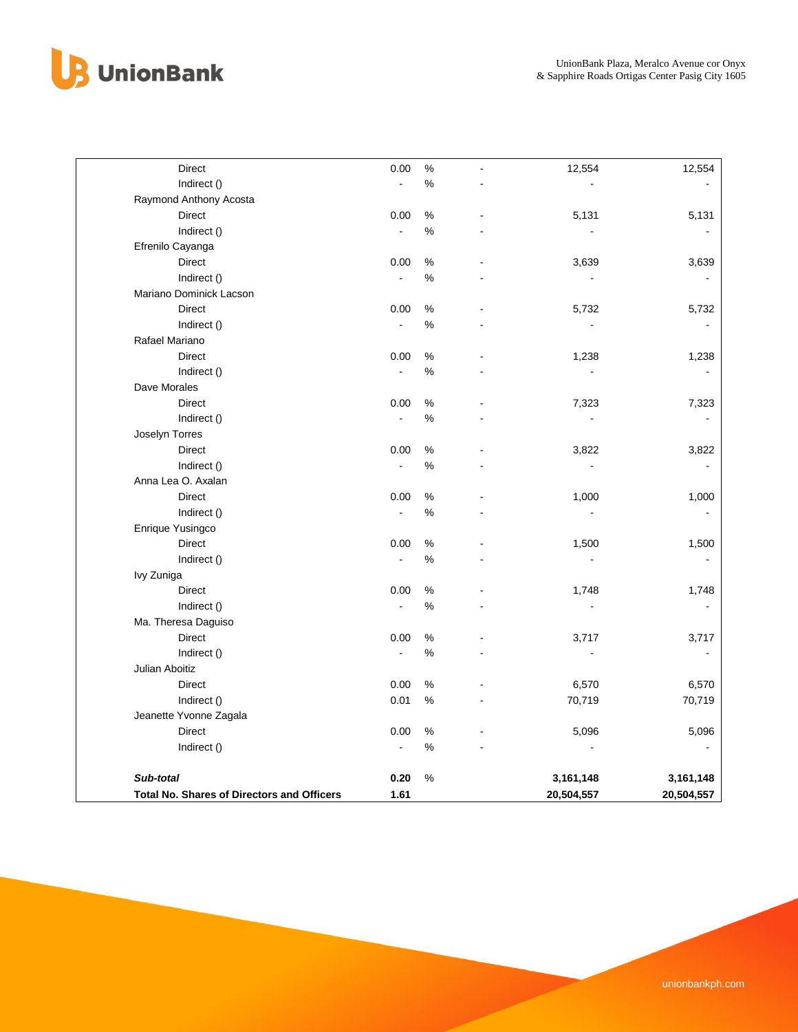

| <b>Direct</b>                                     | 0.00                     | $\%$ | 12,554         | 12,554         |
|---------------------------------------------------|--------------------------|------|----------------|----------------|
| Indirect ()                                       | ä,                       | %    |                |                |
| Raymond Anthony Acosta                            |                          |      |                |                |
| <b>Direct</b>                                     | 0.00                     | %    | 5,131          | 5,131          |
| Indirect ()                                       | $\overline{\phantom{a}}$ | $\%$ | ä,             |                |
| Efrenilo Cayanga                                  |                          |      |                |                |
| <b>Direct</b>                                     | 0.00                     | $\%$ | 3,639          | 3,639          |
| Indirect ()                                       | $\blacksquare$           | $\%$ |                |                |
| Mariano Dominick Lacson                           |                          |      |                |                |
| <b>Direct</b>                                     | 0.00                     | %    | 5,732          | 5,732          |
| Indirect ()                                       | $\blacksquare$           | %    |                |                |
| Rafael Mariano                                    |                          |      |                |                |
| <b>Direct</b>                                     | 0.00                     | %    | 1,238          | 1,238          |
| Indirect ()                                       | $\overline{\phantom{a}}$ | %    | $\blacksquare$ |                |
| Dave Morales                                      |                          |      |                |                |
| <b>Direct</b>                                     | 0.00                     | %    | 7,323          | 7,323          |
| Indirect ()                                       | L,                       | %    | $\blacksquare$ | $\blacksquare$ |
| Joselyn Torres                                    |                          |      |                |                |
| <b>Direct</b>                                     | 0.00                     | %    | 3,822          | 3,822          |
| Indirect ()                                       | $\blacksquare$           | $\%$ | $\blacksquare$ | $\blacksquare$ |
| Anna Lea O. Axalan                                |                          |      |                |                |
| <b>Direct</b>                                     | 0.00                     | $\%$ | 1,000          | 1,000          |
| Indirect ()                                       | $\overline{a}$           | %    | ä,             |                |
| Enrique Yusingco                                  |                          |      |                |                |
| <b>Direct</b>                                     | 0.00                     | $\%$ | 1,500          | 1,500          |
| Indirect ()                                       | $\mathbf{r}$             | %    | $\blacksquare$ |                |
| Ivy Zuniga                                        |                          |      |                |                |
| Direct                                            | 0.00                     | $\%$ | 1,748          | 1,748          |
| Indirect ()                                       | J.                       | %    | L.             | $\blacksquare$ |
| Ma. Theresa Daguiso                               |                          |      |                |                |
| <b>Direct</b>                                     | 0.00                     | %    | 3,717          | 3,717          |
| Indirect ()                                       | $\blacksquare$           | $\%$ | $\sim$         | $\blacksquare$ |
| Julian Aboitiz                                    |                          |      |                |                |
| <b>Direct</b>                                     | 0.00                     | $\%$ | 6,570          | 6,570          |
| Indirect ()                                       | 0.01                     | %    | 70,719         | 70,719         |
| Jeanette Yvonne Zagala                            |                          |      |                |                |
| <b>Direct</b>                                     | 0.00                     | $\%$ | 5,096          | 5,096          |
| Indirect ()                                       | $\blacksquare$           | $\%$ |                |                |
| Sub-total                                         | 0.20                     | %    | 3,161,148      | 3,161,148      |
| <b>Total No. Shares of Directors and Officers</b> | 1.61                     |      | 20,504,557     | 20,504,557     |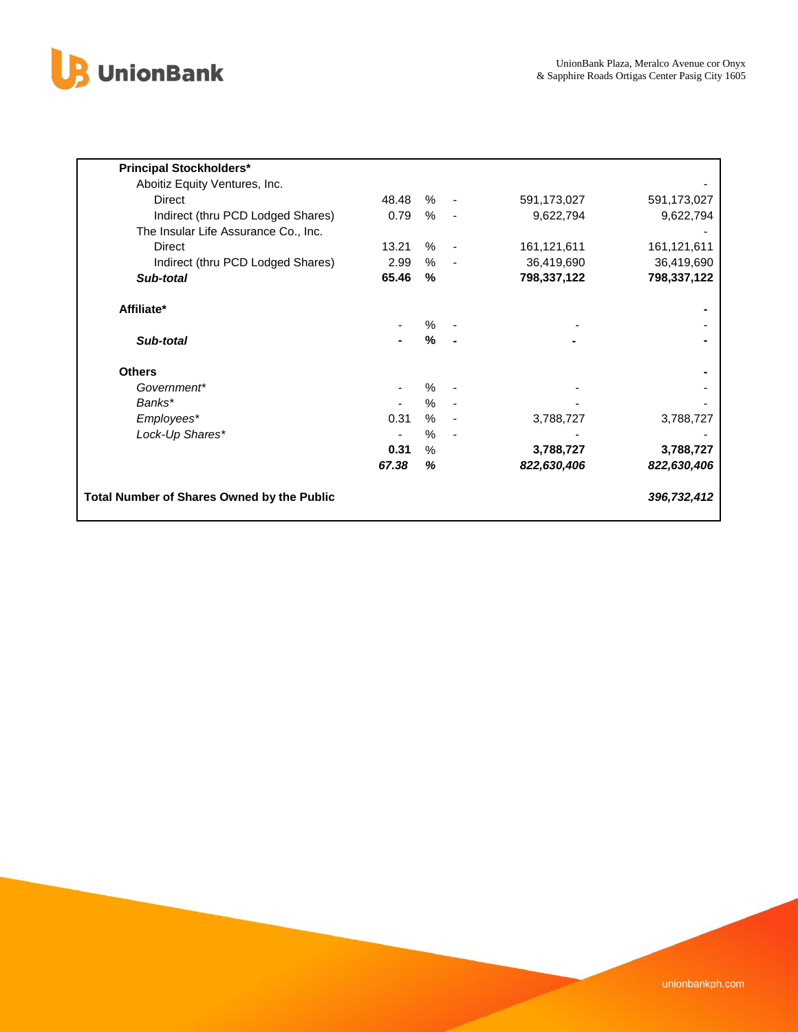

| <b>Principal Stockholders*</b>                    |       |      |                          |             |             |
|---------------------------------------------------|-------|------|--------------------------|-------------|-------------|
| Aboitiz Equity Ventures, Inc.                     |       |      |                          |             |             |
| Direct                                            | 48.48 | %    | $\overline{\phantom{a}}$ | 591,173,027 | 591,173,027 |
| Indirect (thru PCD Lodged Shares)                 | 0.79  | %    | $\overline{\phantom{a}}$ | 9,622,794   | 9,622,794   |
| The Insular Life Assurance Co., Inc.              |       |      |                          |             |             |
| Direct                                            | 13.21 | %    | $\overline{\phantom{a}}$ | 161,121,611 | 161,121,611 |
| Indirect (thru PCD Lodged Shares)                 | 2.99  | %    |                          | 36,419,690  | 36,419,690  |
| Sub-total                                         | 65.46 | %    |                          | 798,337,122 | 798,337,122 |
| Affiliate*                                        |       |      |                          |             |             |
|                                                   |       | $\%$ |                          |             |             |
| Sub-total                                         |       | %    |                          |             |             |
| <b>Others</b>                                     |       |      |                          |             |             |
| Government*                                       |       | $\%$ |                          |             |             |
| Banks*                                            |       | %    |                          |             |             |
| Employees*                                        | 0.31  | $\%$ |                          | 3,788,727   | 3,788,727   |
| Lock-Up Shares*                                   |       | $\%$ |                          |             |             |
|                                                   | 0.31  | $\%$ |                          | 3,788,727   | 3,788,727   |
|                                                   | 67.38 | %    |                          | 822,630,406 | 822,630,406 |
| <b>Total Number of Shares Owned by the Public</b> |       |      |                          |             | 396,732,412 |